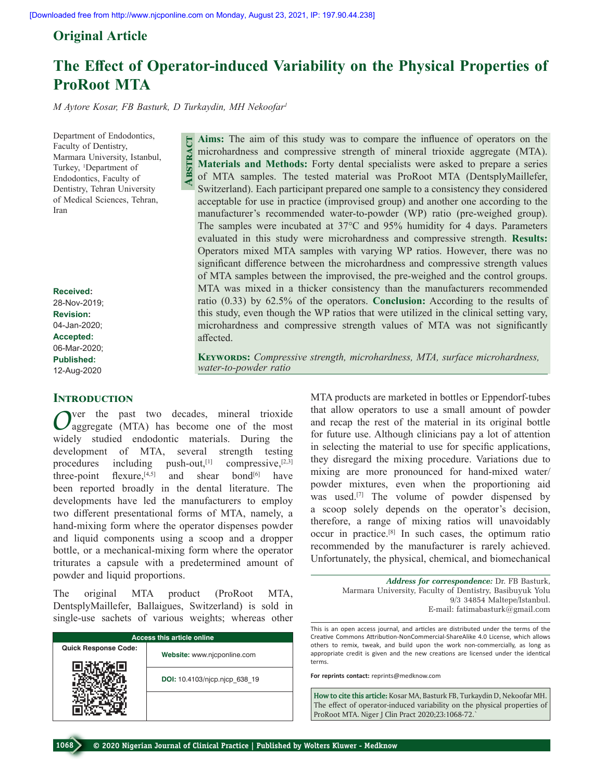## **Original Article**

# **The Effect of Operator‑induced Variability on the Physical Properties of ProRoot MTA**

*M Aytore Kosar, FB Basturk, D Turkaydin, MH Nekoofar1*

**Abstract**

Department of Endodontics, Faculty of Dentistry, Marmara University, Istanbul, Turkey, 1 Department of Endodontics, Faculty of Dentistry, Tehran University of Medical Sciences, Tehran, Iran

**Received:** 28-Nov-2019; **Revision:** 04-Jan-2020; **Accepted:** 06-Mar-2020; **Published:** 12-Aug-2020

## **INTRODUCTION**

*O*ver the past two decades, mineral trioxide aggregate (MTA) has become one of the most widely studied endodontic materials. During the development of MTA, several strength testing procedures including push-out, $[1]$  compressive, $[2,3]$ three-point flexure,<sup>[4,5]</sup> and shear bond<sup>[6]</sup> have been reported broadly in the dental literature. The developments have led the manufacturers to employ two different presentational forms of MTA, namely, a hand-mixing form where the operator dispenses powder and liquid components using a scoop and a dropper bottle, or a mechanical-mixing form where the operator triturates a capsule with a predetermined amount of powder and liquid proportions.

The original MTA product (ProRoot MTA, DentsplyMaillefer, Ballaigues, Switzerland) is sold in single-use sachets of various weights; whereas other

| <b>Access this article online</b> |                               |
|-----------------------------------|-------------------------------|
| <b>Quick Response Code:</b>       | Website: www.njcponline.com   |
|                                   | DOI: 10.4103/njcp.njcp 638 19 |
|                                   |                               |

**Aims:** The aim of this study was to compare the influence of operators on the microhardness and compressive strength of mineral trioxide aggregate (MTA). **Materials and Methods:** Forty dental specialists were asked to prepare a series of MTA samples. The tested material was ProRoot MTA (DentsplyMaillefer, Switzerland). Each participant prepared one sample to a consistency they considered acceptable for use in practice (improvised group) and another one according to the manufacturer's recommended water-to-powder (WP) ratio (pre-weighed group). The samples were incubated at 37°C and 95% humidity for 4 days. Parameters evaluated in this study were microhardness and compressive strength. **Results:** Operators mixed MTA samples with varying WP ratios. However, there was no significant difference between the microhardness and compressive strength values of MTA samples between the improvised, the pre‑weighed and the control groups. MTA was mixed in a thicker consistency than the manufacturers recommended ratio (0.33) by 62.5% of the operators. **Conclusion:** According to the results of this study, even though the WP ratios that were utilized in the clinical setting vary, microhardness and compressive strength values of MTA was not significantly affected.

**KEYWORDS:** Compressive strength, microhardness, MTA, surface microhardness, *water‑to‑powder ratio*

> MTA products are marketed in bottles or Eppendorf-tubes that allow operators to use a small amount of powder and recap the rest of the material in its original bottle for future use. Although clinicians pay a lot of attention in selecting the material to use for specific applications, they disregard the mixing procedure. Variations due to mixing are more pronounced for hand‑mixed water/ powder mixtures, even when the proportioning aid was used.<sup>[7]</sup> The volume of powder dispensed by a scoop solely depends on the operator's decision, therefore, a range of mixing ratios will unavoidably occur in practice.[8] In such cases, the optimum ratio recommended by the manufacturer is rarely achieved. Unfortunately, the physical, chemical, and biomechanical

> > *Address for correspondence:* Dr. FB Basturk, Marmara University, Faculty of Dentistry, Basibuyuk Yolu 9/3 34854 Maltepe/Istanbul. E‑mail: fatimabasturk@gmail.com

This is an open access journal, and articles are distributed under the terms of the Creative Commons Attribution‑NonCommercial‑ShareAlike 4.0 License, which allows others to remix, tweak, and build upon the work non‑commercially, as long as appropriate credit is given and the new creations are licensed under the identical terms.

**For reprints contact:** reprints@medknow.com

**How to cite this article:** Kosar MA, Basturk FB, Turkaydin D, Nekoofar MH. The effect of operator-induced variability on the physical properties of ProRoot MTA. Niger J Clin Pract 2020;23:1068-72.`

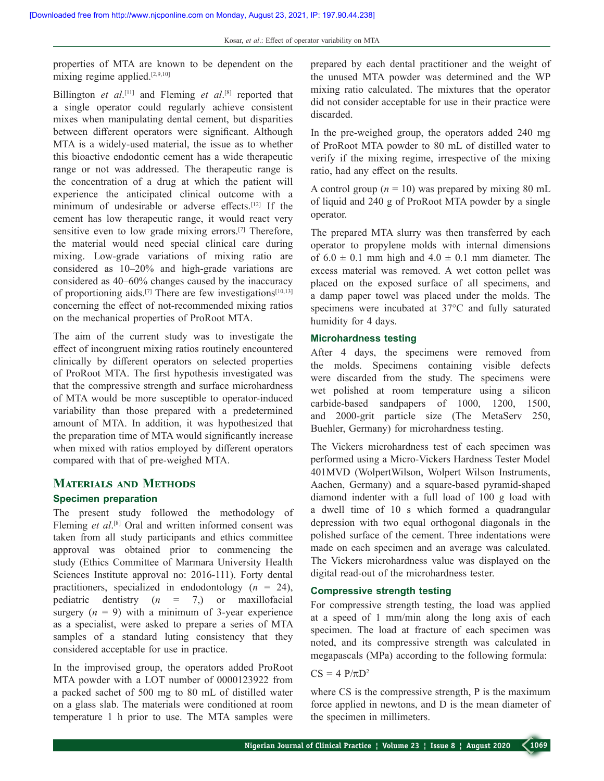properties of MTA are known to be dependent on the mixing regime applied.[2,9,10]

Billington *et al*. [11] and Fleming *et al*. [8] reported that a single operator could regularly achieve consistent mixes when manipulating dental cement, but disparities between different operators were significant. Although MTA is a widely‑used material, the issue as to whether this bioactive endodontic cement has a wide therapeutic range or not was addressed. The therapeutic range is the concentration of a drug at which the patient will experience the anticipated clinical outcome with a minimum of undesirable or adverse effects.[12] If the cement has low therapeutic range, it would react very sensitive even to low grade mixing errors.<sup>[7]</sup> Therefore, the material would need special clinical care during mixing. Low‑grade variations of mixing ratio are considered as  $10-20%$  and high-grade variations are considered as 40–60% changes caused by the inaccuracy of proportioning aids.<sup>[7]</sup> There are few investigations<sup>[10,13]</sup> concerning the effect of not‑recommended mixing ratios on the mechanical properties of ProRoot MTA.

The aim of the current study was to investigate the effect of incongruent mixing ratios routinely encountered clinically by different operators on selected properties of ProRoot MTA. The first hypothesis investigated was that the compressive strength and surface microhardness of MTA would be more susceptible to operator‑induced variability than those prepared with a predetermined amount of MTA. In addition, it was hypothesized that the preparation time of MTA would significantly increase when mixed with ratios employed by different operators compared with that of pre‑weighed MTA.

## **Materials and Methods**

#### **Specimen preparation**

The present study followed the methodology of Fleming *et al.*<sup>[8]</sup> Oral and written informed consent was taken from all study participants and ethics committee approval was obtained prior to commencing the study (Ethics Committee of Marmara University Health Sciences Institute approval no: 2016-111). Forty dental practitioners, specialized in endodontology (*n* = 24), pediatric dentistry (*n* = 7,) or maxillofacial surgery  $(n = 9)$  with a minimum of 3-year experience as a specialist, were asked to prepare a series of MTA samples of a standard luting consistency that they considered acceptable for use in practice.

In the improvised group, the operators added ProRoot MTA powder with a LOT number of 0000123922 from a packed sachet of 500 mg to 80 mL of distilled water on a glass slab. The materials were conditioned at room temperature 1 h prior to use. The MTA samples were

prepared by each dental practitioner and the weight of the unused MTA powder was determined and the WP mixing ratio calculated. The mixtures that the operator did not consider acceptable for use in their practice were discarded.

In the pre-weighed group, the operators added 240 mg of ProRoot MTA powder to 80 mL of distilled water to verify if the mixing regime, irrespective of the mixing ratio, had any effect on the results.

A control group  $(n = 10)$  was prepared by mixing 80 mL of liquid and 240 g of ProRoot MTA powder by a single operator.

The prepared MTA slurry was then transferred by each operator to propylene molds with internal dimensions of  $6.0 \pm 0.1$  mm high and  $4.0 \pm 0.1$  mm diameter. The excess material was removed. A wet cotton pellet was placed on the exposed surface of all specimens, and a damp paper towel was placed under the molds. The specimens were incubated at 37°C and fully saturated humidity for 4 days.

#### **Microhardness testing**

After 4 days, the specimens were removed from the molds. Specimens containing visible defects were discarded from the study. The specimens were wet polished at room temperature using a silicon carbide-based sandpapers of 1000, 1200, 1500, and 2000‑grit particle size (The MetaServ 250, Buehler, Germany) for microhardness testing.

The Vickers microhardness test of each specimen was performed using a Micro‑Vickers Hardness Tester Model 401MVD (WolpertWilson, Wolpert Wilson Instruments, Aachen, Germany) and a square‑based pyramid‑shaped diamond indenter with a full load of 100 g load with a dwell time of 10 s which formed a quadrangular depression with two equal orthogonal diagonals in the polished surface of the cement. Three indentations were made on each specimen and an average was calculated. The Vickers microhardness value was displayed on the digital read‑out of the microhardness tester.

#### **Compressive strength testing**

For compressive strength testing, the load was applied at a speed of 1 mm/min along the long axis of each specimen. The load at fracture of each specimen was noted, and its compressive strength was calculated in megapascals (MPa) according to the following formula:

#### $CS = 4 P/\pi D^2$

where CS is the compressive strength, P is the maximum force applied in newtons, and D is the mean diameter of the specimen in millimeters.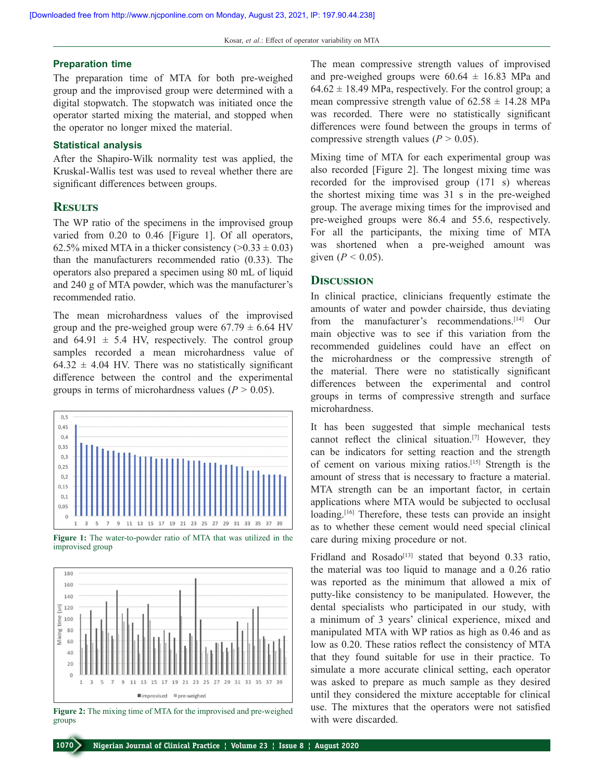#### **Preparation time**

The preparation time of MTA for both pre-weighed group and the improvised group were determined with a digital stopwatch. The stopwatch was initiated once the operator started mixing the material, and stopped when the operator no longer mixed the material.

#### **Statistical analysis**

After the Shapiro‑Wilk normality test was applied, the Kruskal-Wallis test was used to reveal whether there are significant differences between groups.

#### **Results**

The WP ratio of the specimens in the improvised group varied from 0.20 to 0.46 [Figure 1]. Of all operators, 62.5% mixed MTA in a thicker consistency  $(0.33 \pm 0.03)$ than the manufacturers recommended ratio (0.33). The operators also prepared a specimen using 80 mL of liquid and 240 g of MTA powder, which was the manufacturer's recommended ratio.

The mean microhardness values of the improvised group and the pre-weighed group were  $67.79 \pm 6.64$  HV and  $64.91 \pm 5.4$  HV, respectively. The control group samples recorded a mean microhardness value of  $64.32 \pm 4.04$  HV. There was no statistically significant difference between the control and the experimental groups in terms of microhardness values ( $P > 0.05$ ).



Figure 1: The water-to-powder ratio of MTA that was utilized in the improvised group



**Figure 2:** The mixing time of MTA for the improvised and pre-weighed use. The mixtures to groups with were discarded. groups

The mean compressive strength values of improvised and pre-weighed groups were  $60.64 \pm 16.83$  MPa and  $64.62 \pm 18.49$  MPa, respectively. For the control group; a mean compressive strength value of  $62.58 \pm 14.28$  MPa was recorded. There were no statistically significant differences were found between the groups in terms of compressive strength values ( $P > 0.05$ ).

Mixing time of MTA for each experimental group was also recorded [Figure 2]. The longest mixing time was recorded for the improvised group (171 s) whereas the shortest mixing time was 31 s in the pre‑weighed group. The average mixing times for the improvised and pre‑weighed groups were 86.4 and 55.6, respectively. For all the participants, the mixing time of MTA was shortened when a pre-weighed amount was given ( $P < 0.05$ ).

#### **Discussion**

In clinical practice, clinicians frequently estimate the amounts of water and powder chairside, thus deviating from the manufacturer's recommendations.<sup>[14]</sup> Our main objective was to see if this variation from the recommended guidelines could have an effect on the microhardness or the compressive strength of the material. There were no statistically significant differences between the experimental and control groups in terms of compressive strength and surface microhardness.

It has been suggested that simple mechanical tests cannot reflect the clinical situation.[7] However, they can be indicators for setting reaction and the strength of cement on various mixing ratios.[15] Strength is the amount of stress that is necessary to fracture a material. MTA strength can be an important factor, in certain applications where MTA would be subjected to occlusal loading.<sup>[16]</sup> Therefore, these tests can provide an insight as to whether these cement would need special clinical care during mixing procedure or not.

Fridland and Rosado<sup>[13]</sup> stated that beyond  $0.33$  ratio, the material was too liquid to manage and a 0.26 ratio was reported as the minimum that allowed a mix of putty‑like consistency to be manipulated. However, the dental specialists who participated in our study, with a minimum of 3 years' clinical experience, mixed and manipulated MTA with WP ratios as high as 0.46 and as low as 0.20. These ratios reflect the consistency of MTA that they found suitable for use in their practice. To simulate a more accurate clinical setting, each operator was asked to prepare as much sample as they desired until they considered the mixture acceptable for clinical use. The mixtures that the operators were not satisfied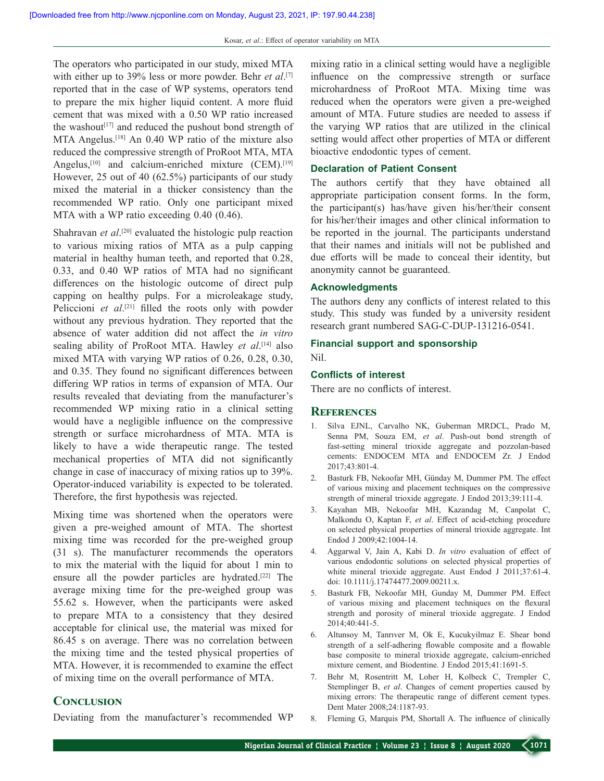The operators who participated in our study, mixed MTA with either up to 39% less or more powder. Behr *et al*. [7] reported that in the case of WP systems, operators tend to prepare the mix higher liquid content. A more fluid cement that was mixed with a 0.50 WP ratio increased the washout<sup>[17]</sup> and reduced the pushout bond strength of MTA Angelus.[18] An 0.40 WP ratio of the mixture also reduced the compressive strength of ProRoot MTA, MTA Angelus,<sup>[10]</sup> and calcium-enriched mixture  $(CEM)$ .<sup>[19]</sup> However, 25 out of 40 (62.5%) participants of our study mixed the material in a thicker consistency than the recommended WP ratio. Only one participant mixed MTA with a WP ratio exceeding 0.40 (0.46).

Shahravan *et al*.<sup>[20]</sup> evaluated the histologic pulp reaction to various mixing ratios of MTA as a pulp capping material in healthy human teeth, and reported that 0.28, 0.33, and 0.40 WP ratios of MTA had no significant differences on the histologic outcome of direct pulp capping on healthy pulps. For a microleakage study, Peliccioni et al.<sup>[21]</sup> filled the roots only with powder without any previous hydration. They reported that the absence of water addition did not affect the *in vitro*  sealing ability of ProRoot MTA. Hawley *et al*. [14] also mixed MTA with varying WP ratios of 0.26, 0.28, 0.30, and 0.35. They found no significant differences between differing WP ratios in terms of expansion of MTA. Our results revealed that deviating from the manufacturer's recommended WP mixing ratio in a clinical setting would have a negligible influence on the compressive strength or surface microhardness of MTA. MTA is likely to have a wide therapeutic range. The tested mechanical properties of MTA did not significantly change in case of inaccuracy of mixing ratios up to 39%. Operator‑induced variability is expected to be tolerated. Therefore, the first hypothesis was rejected.

Mixing time was shortened when the operators were given a pre‑weighed amount of MTA. The shortest mixing time was recorded for the pre-weighed group (31 s). The manufacturer recommends the operators to mix the material with the liquid for about 1 min to ensure all the powder particles are hydrated.[22] The average mixing time for the pre-weighed group was 55.62 s. However, when the participants were asked to prepare MTA to a consistency that they desired acceptable for clinical use, the material was mixed for 86.45 s on average. There was no correlation between the mixing time and the tested physical properties of MTA. However, it is recommended to examine the effect of mixing time on the overall performance of MTA.

#### **Conclusion**

Deviating from the manufacturer's recommended WP

mixing ratio in a clinical setting would have a negligible influence on the compressive strength or surface microhardness of ProRoot MTA. Mixing time was reduced when the operators were given a pre‑weighed amount of MTA. Future studies are needed to assess if the varying WP ratios that are utilized in the clinical setting would affect other properties of MTA or different bioactive endodontic types of cement.

#### **Declaration of Patient Consent**

The authors certify that they have obtained all appropriate participation consent forms. In the form, the participant(s) has/have given his/her/their consent for his/her/their images and other clinical information to be reported in the journal. The participants understand that their names and initials will not be published and due efforts will be made to conceal their identity, but anonymity cannot be guaranteed.

#### **Acknowledgments**

The authors deny any conflicts of interest related to this study. This study was funded by a university resident research grant numbered SAG‑C‑DUP‑131216‑0541.

# **Financial support and sponsorship**

Nil.

### **Conflicts of interest**

There are no conflicts of interest.

#### **References**

- 1. Silva EJNL, Carvalho NK, Guberman MRDCL, Prado M, Senna PM, Souza EM, *et al*. Push‑out bond strength of fast-setting mineral trioxide aggregate and pozzolan-based cements: ENDOCEM MTA and ENDOCEM Zr. J Endod 2017;43:801‑4.
- 2. Basturk FB, Nekoofar MH, Günday M, Dummer PM. The effect of various mixing and placement techniques on the compressive strength of mineral trioxide aggregate. J Endod 2013;39:111‑4.
- 3. Kayahan MB, Nekoofar MH, Kazandag M, Canpolat C, Malkondu O, Kaptan F, *et al*. Effect of acid‑etching procedure on selected physical properties of mineral trioxide aggregate. Int Endod J 2009;42:1004‑14.
- 4. Aggarwal V, Jain A, Kabi D. *In vitro* evaluation of effect of various endodontic solutions on selected physical properties of white mineral trioxide aggregate. Aust Endod J 2011;37:61-4. doi: 10.1111/j.17474477.2009.00211.x.
- 5. Basturk FB, Nekoofar MH, Gunday M, Dummer PM. Effect of various mixing and placement techniques on the flexural strength and porosity of mineral trioxide aggregate. J Endod 2014;40:441‑5.
- 6. Altunsoy M, Tanrıver M, Ok E, Kucukyilmaz E. Shear bond strength of a self‑adhering flowable composite and a flowable base composite to mineral trioxide aggregate, calcium-enriched mixture cement, and Biodentine. J Endod 2015;41:1691-5.
- 7. Behr M, Rosentritt M, Loher H, Kolbeck C, Trempler C, Stemplinger B, *et al*. Changes of cement properties caused by mixing errors: The therapeutic range of different cement types. Dent Mater 2008;24:1187‑93.
- 8. Fleming G, Marquis PM, Shortall A. The influence of clinically